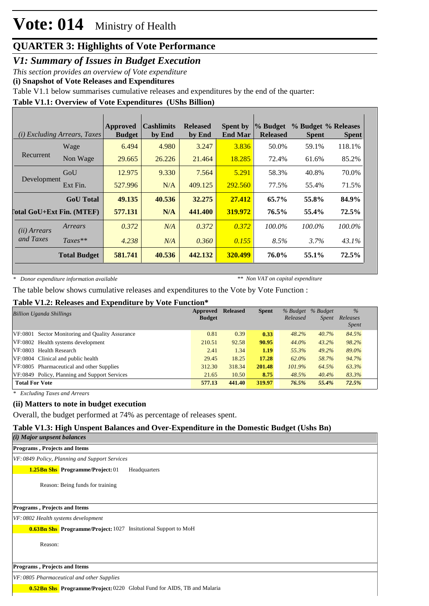# **Vote: 014** Ministry of Health

## **QUARTER 3: Highlights of Vote Performance**

*V1: Summary of Issues in Budget Execution*

*This section provides an overview of Vote expenditure* 

**(i) Snapshot of Vote Releases and Expenditures**

Table V1.1 below summarises cumulative releases and expenditures by the end of the quarter:

#### **Table V1.1: Overview of Vote Expenditures (UShs Billion)**

|                       | ( <i>i</i> ) Excluding Arrears, Taxes | <b>Approved</b><br><b>Budget</b> | <b>Cashlimits</b><br>by End | <b>Released</b><br>by End | <b>Spent by</b><br><b>End Mar</b> | % Budget<br><b>Released</b> | % Budget % Releases<br><b>Spent</b> | <b>Spent</b> |
|-----------------------|---------------------------------------|----------------------------------|-----------------------------|---------------------------|-----------------------------------|-----------------------------|-------------------------------------|--------------|
|                       | Wage                                  | 6.494                            | 4.980                       | 3.247                     | 3.836                             | 50.0%                       | 59.1%                               | 118.1%       |
| Recurrent             | Non Wage                              | 29.665                           | 26.226                      | 21.464                    | 18.285                            | 72.4%                       | 61.6%                               | 85.2%        |
| Development           | GoU                                   | 12.975                           | 9.330                       | 7.564                     | 5.291                             | 58.3%                       | 40.8%                               | 70.0%        |
|                       | Ext Fin.                              | 527.996                          | N/A                         | 409.125                   | 292.560                           | 77.5%                       | 55.4%                               | 71.5%        |
|                       | <b>GoU</b> Total                      | 49.135                           | 40.536                      | 32.275                    | 27.412                            | 65.7%                       | 55.8%                               | 84.9%        |
|                       | <b>Total GoU+Ext Fin. (MTEF)</b>      | 577.131                          | N/A                         | 441.400                   | 319.972                           | 76.5%                       | 55.4%                               | 72.5%        |
| ( <i>ii</i> ) Arrears | Arrears                               | 0.372                            | N/A                         | 0.372                     | 0.372                             | $100.0\%$                   | $100.0\%$                           | 100.0%       |
| and Taxes             | $Taxes**$                             | 4.238                            | N/A                         | 0.360                     | 0.155                             | 8.5%                        | 3.7%                                | 43.1%        |
|                       | <b>Total Budget</b>                   | 581.741                          | 40.536                      | 442.132                   | 320.499                           | 76.0%                       | 55.1%                               | 72.5%        |

*\* Donor expenditure information available*

*\*\* Non VAT on capital expenditure*

The table below shows cumulative releases and expenditures to the Vote by Vote Function :

#### **Table V1.2: Releases and Expenditure by Vote Function\***

| <b>Billion Uganda Shillings</b>                 | Approved<br><b>Budget</b> | <b>Released</b> | <b>Spent</b> | % Budget<br>Released | % Budget<br><i>Spent</i> | $\frac{9}{6}$<br>Releases<br><i>Spent</i> |
|-------------------------------------------------|---------------------------|-----------------|--------------|----------------------|--------------------------|-------------------------------------------|
| VF:0801 Sector Monitoring and Quality Assurance | 0.81                      | 0.39            | 0.33         | 48.2%                | 40.7%                    | 84.5%                                     |
| VF:0802 Health systems development              | 210.51                    | 92.58           | 90.95        | 44.0%                | 43.2%                    | 98.2%                                     |
| VF:0803 Health Research                         | 2.41                      | 1.34            | 1.19         | 55.3%                | $49.2\%$                 | 89.0%                                     |
| VF:0804 Clinical and public health              | 29.45                     | 18.25           | 17.28        | 62.0%                | 58.7%                    | 94.7%                                     |
| VF:0805 Pharmaceutical and other Supplies       | 312.30                    | 318.34          | 201.48       | 101.9%               | 64.5%                    | 63.3%                                     |
| VF:0849 Policy, Planning and Support Services   | 21.65                     | 10.50           | 8.75         | 48.5%                | 40.4%                    | 83.3%                                     |
| <b>Total For Vote</b>                           | 577.13                    | 441.40          | 319.97       | 76.5%                | 55.4%                    | 72.5%                                     |

*\* Excluding Taxes and Arrears*

#### **(ii) Matters to note in budget execution**

#### **Table V1.3: High Unspent Balances and Over-Expenditure in the Domestic Budget (Ushs Bn)**

| (II) matters to note in budget execution                                             |  |
|--------------------------------------------------------------------------------------|--|
| Overall, the budget performed at 74% as percentage of releases spent.                |  |
| Table V1.3: High Unspent Balances and Over-Expenditure in the Domestic Budget (Ushs) |  |
| (i) Major unpsent balances                                                           |  |
| <b>Programs, Projects and Items</b>                                                  |  |
| VF: 0849 Policy, Planning and Support Services                                       |  |
| <b>1.25Bn Shs</b> Programme/Project: 01<br>Headquarters                              |  |
| Reason: Being funds for training                                                     |  |
| <b>Programs, Projects and Items</b>                                                  |  |
| VF: 0802 Health systems development                                                  |  |
| <b>0.63Bn Shs</b> Programme/Project: 1027 Insitutional Support to MoH                |  |
| Reason:                                                                              |  |
| <b>Programs, Projects and Items</b>                                                  |  |
| VF: 0805 Pharmaceutical and other Supplies                                           |  |
| <b>0.52Bn Shs</b> Programme/Project: 0220 Global Fund for AIDS, TB and Malaria       |  |
|                                                                                      |  |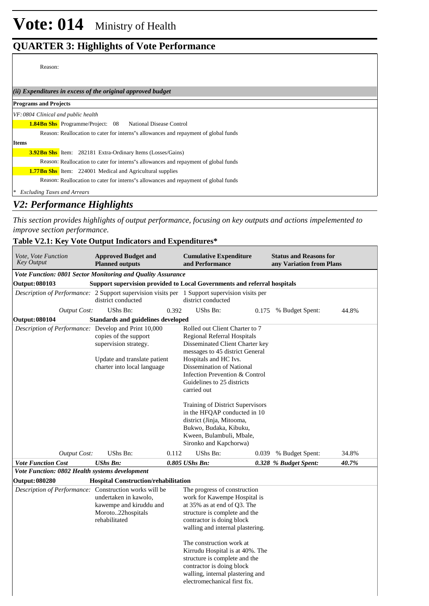#### Reason:

*(ii) Expenditures in excess of the original approved budget*

| <b>Programs and Projects</b>                                                         |  |  |  |  |  |  |  |
|--------------------------------------------------------------------------------------|--|--|--|--|--|--|--|
| VF: 0804 Clinical and public health                                                  |  |  |  |  |  |  |  |
| <b>1.84Bn Shs</b> Programme/Project: 08 National Disease Control                     |  |  |  |  |  |  |  |
| Reason: Reallocation to cater for interns"s allowances and repayment of global funds |  |  |  |  |  |  |  |
| <b>Items</b>                                                                         |  |  |  |  |  |  |  |
| <b>3.92Bn Shs</b> Item: 282181 Extra-Ordinary Items (Losses/Gains)                   |  |  |  |  |  |  |  |
| Reason: Reallocation to cater for interns"s allowances and repayment of global funds |  |  |  |  |  |  |  |
| <b>1.77Bn Shs</b> Item: 224001 Medical and Agricultural supplies                     |  |  |  |  |  |  |  |
| Reason: Reallocation to cater for interns"s allowances and repayment of global funds |  |  |  |  |  |  |  |
| <b>Excluding Taxes and Arrears</b>                                                   |  |  |  |  |  |  |  |

## *V2: Performance Highlights*

*This section provides highlights of output performance, focusing on key outputs and actions impelemented to improve section performance.*

#### **Table V2.1: Key Vote Output Indicators and Expenditures\***

| <b>Approved Budget and</b><br><i>Vote, Vote Function</i><br><b>Key Output</b><br><b>Planned outputs</b> |                                                                                                                                                  | <b>Cumulative Expenditure</b><br>and Performance |                                                                                                                                                                                                                                                                                                                                              | <b>Status and Reasons for</b><br>any Variation from Plans |                       |       |
|---------------------------------------------------------------------------------------------------------|--------------------------------------------------------------------------------------------------------------------------------------------------|--------------------------------------------------|----------------------------------------------------------------------------------------------------------------------------------------------------------------------------------------------------------------------------------------------------------------------------------------------------------------------------------------------|-----------------------------------------------------------|-----------------------|-------|
| Vote Function: 0801 Sector Monitoring and Quality Assurance                                             |                                                                                                                                                  |                                                  |                                                                                                                                                                                                                                                                                                                                              |                                                           |                       |       |
| <b>Output: 080103</b>                                                                                   | Support supervision provided to Local Governments and referral hospitals                                                                         |                                                  |                                                                                                                                                                                                                                                                                                                                              |                                                           |                       |       |
| Description of Performance: 2 Support supervision visits per 1 Support supervision visits per           | district conducted                                                                                                                               |                                                  | district conducted                                                                                                                                                                                                                                                                                                                           |                                                           |                       |       |
| <b>Output Cost:</b>                                                                                     | UShs Bn:                                                                                                                                         | 0.392                                            | UShs Bn:                                                                                                                                                                                                                                                                                                                                     | 0.175                                                     | % Budget Spent:       | 44.8% |
| <b>Output: 080104</b>                                                                                   | <b>Standards and guidelines developed</b>                                                                                                        |                                                  |                                                                                                                                                                                                                                                                                                                                              |                                                           |                       |       |
| Description of Performance: Develop and Print 10,000                                                    | copies of the support<br>supervision strategy.<br>Update and translate patient<br>charter into local language                                    |                                                  | Rolled out Client Charter to 7<br>Regional Referral Hospitals<br>Disseminated Client Charter key<br>messages to 45 district General<br>Hospitals and HC Ivs.<br>Dissemination of National<br>Infection Prevention & Control<br>Guidelines to 25 districts<br>carried out<br>Training of District Supervisors<br>in the HFQAP conducted in 10 |                                                           |                       |       |
| <b>Output Cost:</b>                                                                                     | UShs Bn:                                                                                                                                         | 0.112                                            | district (Jinja, Mitooma,<br>Bukwo, Budaka, Kibuku,<br>Kween, Bulambuli, Mbale,<br>Sironko and Kapchorwa)<br>UShs Bn:                                                                                                                                                                                                                        | 0.039                                                     | % Budget Spent:       | 34.8% |
| <b>Vote Function Cost</b>                                                                               | <b>UShs Bn:</b>                                                                                                                                  |                                                  | 0.805 UShs Bn:                                                                                                                                                                                                                                                                                                                               |                                                           | 0.328 % Budget Spent: | 40.7% |
| Vote Function: 0802 Health systems development                                                          |                                                                                                                                                  |                                                  |                                                                                                                                                                                                                                                                                                                                              |                                                           |                       |       |
| <b>Output: 080280</b>                                                                                   | <b>Hospital Construction/rehabilitation</b>                                                                                                      |                                                  |                                                                                                                                                                                                                                                                                                                                              |                                                           |                       |       |
|                                                                                                         | Description of Performance: Construction works will be<br>undertaken in kawolo,<br>kawempe and kiruddu and<br>Moroto22hospitals<br>rehabilitated |                                                  | The progress of construction<br>work for Kawempe Hospital is<br>at 35% as at end of Q3. The<br>structure is complete and the<br>contractor is doing block<br>walling and internal plastering.                                                                                                                                                |                                                           |                       |       |
|                                                                                                         |                                                                                                                                                  |                                                  | The construction work at<br>Kirrudu Hospital is at 40%. The<br>structure is complete and the<br>contractor is doing block<br>walling, internal plastering and<br>electromechanical first fix.                                                                                                                                                |                                                           |                       |       |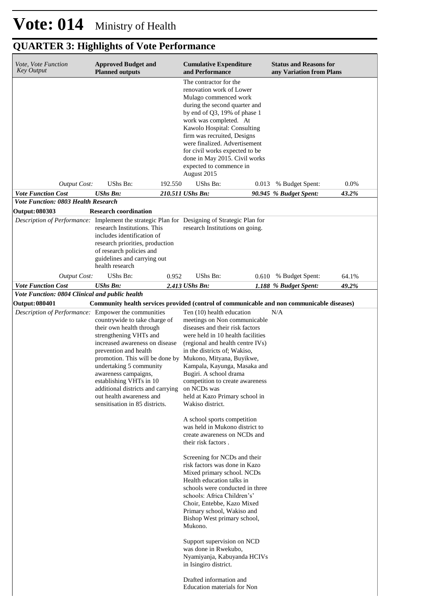| Vote, Vote Function<br><b>Key Output</b>                                                     | <b>Approved Budget and</b><br><b>Planned outputs</b>                                                                                                                                                                                                                                                                            |         | <b>Cumulative Expenditure</b><br>and Performance                                                                                                                                                                                                                                                                                                                                                                                                                                                                                                                                                                                                                                                                                                                                                                                                                                                                                                                                                                                         |       | <b>Status and Reasons for</b><br>any Variation from Plans |       |
|----------------------------------------------------------------------------------------------|---------------------------------------------------------------------------------------------------------------------------------------------------------------------------------------------------------------------------------------------------------------------------------------------------------------------------------|---------|------------------------------------------------------------------------------------------------------------------------------------------------------------------------------------------------------------------------------------------------------------------------------------------------------------------------------------------------------------------------------------------------------------------------------------------------------------------------------------------------------------------------------------------------------------------------------------------------------------------------------------------------------------------------------------------------------------------------------------------------------------------------------------------------------------------------------------------------------------------------------------------------------------------------------------------------------------------------------------------------------------------------------------------|-------|-----------------------------------------------------------|-------|
|                                                                                              |                                                                                                                                                                                                                                                                                                                                 |         | The contractor for the<br>renovation work of Lower<br>Mulago commenced work<br>during the second quarter and<br>by end of $Q3$ , 19% of phase 1<br>work was completed. At<br>Kawolo Hospital: Consulting<br>firm was recruited, Designs<br>were finalized. Advertisement<br>for civil works expected to be<br>done in May 2015. Civil works<br>expected to commence in<br>August 2015                                                                                                                                                                                                                                                                                                                                                                                                                                                                                                                                                                                                                                                    |       |                                                           |       |
| <b>Output Cost:</b>                                                                          | UShs Bn:                                                                                                                                                                                                                                                                                                                        | 192.550 | UShs Bn:                                                                                                                                                                                                                                                                                                                                                                                                                                                                                                                                                                                                                                                                                                                                                                                                                                                                                                                                                                                                                                 | 0.013 | % Budget Spent:                                           | 0.0%  |
| <b>Vote Function Cost</b>                                                                    | <b>UShs Bn:</b>                                                                                                                                                                                                                                                                                                                 |         | 210.511 UShs Bn:                                                                                                                                                                                                                                                                                                                                                                                                                                                                                                                                                                                                                                                                                                                                                                                                                                                                                                                                                                                                                         |       | 90.945 % Budget Spent:                                    | 43.2% |
| <b>Vote Function: 0803 Health Research</b><br><b>Output: 080303</b>                          | <b>Research coordination</b>                                                                                                                                                                                                                                                                                                    |         |                                                                                                                                                                                                                                                                                                                                                                                                                                                                                                                                                                                                                                                                                                                                                                                                                                                                                                                                                                                                                                          |       |                                                           |       |
| Description of Performance: Implement the strategic Plan for Designing of Strategic Plan for | research Institutions. This<br>includes identification of<br>research priorities, production<br>of research policies and<br>guidelines and carrying out<br>health research                                                                                                                                                      |         | research Institutions on going.                                                                                                                                                                                                                                                                                                                                                                                                                                                                                                                                                                                                                                                                                                                                                                                                                                                                                                                                                                                                          |       |                                                           |       |
| <b>Output Cost:</b>                                                                          | UShs Bn:                                                                                                                                                                                                                                                                                                                        | 0.952   | UShs Bn:                                                                                                                                                                                                                                                                                                                                                                                                                                                                                                                                                                                                                                                                                                                                                                                                                                                                                                                                                                                                                                 | 0.610 | % Budget Spent:                                           | 64.1% |
| <b>Vote Function Cost</b><br>Vote Function: 0804 Clinical and public health                  | <b>UShs Bn:</b>                                                                                                                                                                                                                                                                                                                 |         | 2.413 UShs Bn:                                                                                                                                                                                                                                                                                                                                                                                                                                                                                                                                                                                                                                                                                                                                                                                                                                                                                                                                                                                                                           |       | 1.188 % Budget Spent:                                     | 49.2% |
| <b>Output: 080401</b>                                                                        |                                                                                                                                                                                                                                                                                                                                 |         | Community health services provided (control of communicable and non communicable diseases)                                                                                                                                                                                                                                                                                                                                                                                                                                                                                                                                                                                                                                                                                                                                                                                                                                                                                                                                               |       |                                                           |       |
| Description of Performance: Empower the communities                                          | countrywide to take charge of<br>their own health through<br>strengthening VHTs and<br>increased awareness on disease<br>prevention and health<br>undertaking 5 community<br>awareness campaigns,<br>establishing VHTs in 10<br>additional districts and carrying<br>out health awareness and<br>sensitisation in 85 districts. |         | Ten (10) health education<br>meetings on Non communicable<br>diseases and their risk factors<br>were held in 10 health facilities<br>(regional and health centre IVs)<br>in the districts of; Wakiso,<br>promotion. This will be done by Mukono, Mityana, Buyikwe,<br>Kampala, Kayunga, Masaka and<br>Bugiri. A school drama<br>competition to create awareness<br>on NCDs was<br>held at Kazo Primary school in<br>Wakiso district.<br>A school sports competition<br>was held in Mukono district to<br>create awareness on NCDs and<br>their risk factors.<br>Screening for NCDs and their<br>risk factors was done in Kazo<br>Mixed primary school. NCDs<br>Health education talks in<br>schools were conducted in three<br>schools: Africa Children's'<br>Choir, Entebbe, Kazo Mixed<br>Primary school, Wakiso and<br>Bishop West primary school,<br>Mukono.<br>Support supervision on NCD<br>was done in Rwekubo,<br>Nyamiyanja, Kabuyanda HCIVs<br>in Isingiro district.<br>Drafted information and<br>Education materials for Non |       | N/A                                                       |       |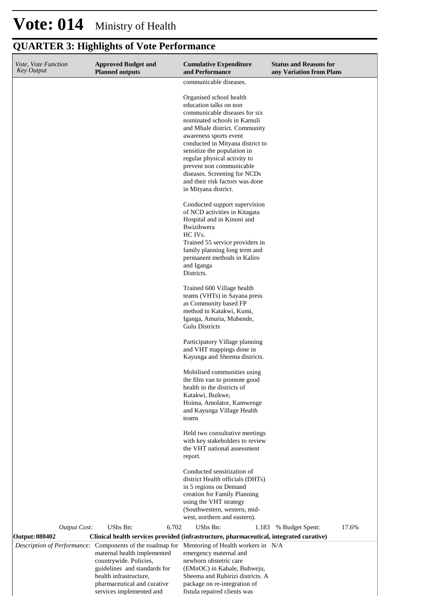#### **Cumulative Expenditure and Performance Approved Budget and Planned outputs Status and Reasons for any Variation from Plans** *Vote, Vote Function Key Output* communicable diseases. Organised school health education talks on non communicable diseases for six nominated schools in Kamuli and Mbale district. Community awareness sports event conducted in Mityana district to sensitize the population in regular physical activity to prevent non communicable diseases. Screening for NCDs and their risk factors was done in Mityana district. Conducted support supervision of NCD activities in Kitagata Hospital and in Kinoni and Bwizibwera HC IVs. Trained 55 service providers in family planning long term and permanent methods in Kaliro and Iganga Districts. Trained 600 Village health teams (VHTs) in Sayana press as Community based FP method in Katakwi, Kumi, Iganga, Amuria, Mubende, Gulu Districts Participatory Village planning and VHT mappings done in Kayunga and Sheema districts. Mobilised communities using the film van to promote good health in the districts of Katakwi, Buikwe, Hoima, Amolator, Kamwenge and Kayunga Village Health teams Held two consultative meetings with key stakeholders to review the VHT national assessment report. Conducted sensitization of district Health officials (DHTs) in 5 regions on Demand creation for Family Planning using the VHT strategy (Southwestern, western, midwest, northern and eastern). *Output Cost:* UShs Bn: 6.702 UShs Bn: 1.183 % Budget Spent: 17.6% **Output: 080402 Clinical health services provided (infrastructure, pharmaceutical, integrated curative)** *Description of Performance:* Components of the roadmap for maternal health implemented countrywide. Policies, guidelines and standards for Mentoring of Health workers in N/Aemergency maternal and newborn obstetric care (EMnOC) in Kabale, Buhweju,

Sheema and Rubirizi districts. A package on re-integration of fistula repaired clients was

#### **QUARTER 3: Highlights of Vote Performance**

health infrastructure, pharmaceutical and curative services implemented and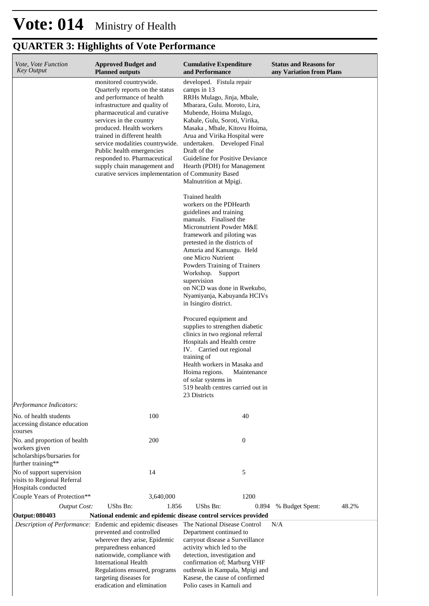| Vote, Vote Function<br><b>Key Output</b>                                                          | <b>Approved Budget and</b><br><b>Planned outputs</b>                                                                                                                                                                                                                                                                                                                                                                               | <b>Cumulative Expenditure</b><br>and Performance                                                                                                                                                                                                                                                                                                                                                                                                                                                                                                                                                                  | <b>Status and Reasons for</b><br>any Variation from Plans |
|---------------------------------------------------------------------------------------------------|------------------------------------------------------------------------------------------------------------------------------------------------------------------------------------------------------------------------------------------------------------------------------------------------------------------------------------------------------------------------------------------------------------------------------------|-------------------------------------------------------------------------------------------------------------------------------------------------------------------------------------------------------------------------------------------------------------------------------------------------------------------------------------------------------------------------------------------------------------------------------------------------------------------------------------------------------------------------------------------------------------------------------------------------------------------|-----------------------------------------------------------|
|                                                                                                   | monitored countrywide.<br>Quarterly reports on the status<br>and performance of health<br>infrastructure and quality of<br>pharmaceutical and curative<br>services in the country<br>produced. Health workers<br>trained in different health<br>service modalities countrywide.<br>Public health emergencies<br>responded to. Pharmaceutical<br>supply chain management and<br>curative services implementation of Community Based | developed. Fistula repair<br>camps in 13<br>RRHs Mulago, Jinja, Mbale,<br>Mbarara, Gulu. Moroto, Lira,<br>Mubende, Hoima Mulago,<br>Kabale, Gulu, Soroti, Virika,<br>Masaka, Mbale, Kitovu Hoima,<br>Arua and Virika Hospital were<br>undertaken. Developed Final<br>Draft of the<br>Guideline for Positive Deviance<br>Hearth (PDH) for Management<br>Malnutrition at Mpigi.                                                                                                                                                                                                                                     |                                                           |
|                                                                                                   |                                                                                                                                                                                                                                                                                                                                                                                                                                    | Trained health<br>workers on the PDHearth<br>guidelines and training<br>manuals. Finalised the<br>Micronutrient Powder M&E<br>framework and piloting was<br>pretested in the districts of<br>Amuria and Kanungu. Held<br>one Micro Nutrient<br>Powders Training of Trainers<br>Workshop. Support<br>supervision<br>on NCD was done in Rwekubo,<br>Nyamiyanja, Kabuyanda HCIVs<br>in Isingiro district.<br>Procured equipment and<br>supplies to strengthen diabetic<br>clinics in two regional referral<br>Hospitals and Health centre<br>IV. Carried out regional<br>training of<br>Health workers in Masaka and |                                                           |
|                                                                                                   |                                                                                                                                                                                                                                                                                                                                                                                                                                    | Hoima regions.<br>Maintenance<br>of solar systems in<br>519 health centres carried out in<br>23 Districts                                                                                                                                                                                                                                                                                                                                                                                                                                                                                                         |                                                           |
| Performance Indicators:                                                                           |                                                                                                                                                                                                                                                                                                                                                                                                                                    |                                                                                                                                                                                                                                                                                                                                                                                                                                                                                                                                                                                                                   |                                                           |
| No. of health students<br>accessing distance education<br>courses                                 | 100                                                                                                                                                                                                                                                                                                                                                                                                                                | 40                                                                                                                                                                                                                                                                                                                                                                                                                                                                                                                                                                                                                |                                                           |
| No. and proportion of health<br>workers given<br>scholarships/bursaries for<br>further training** | 200                                                                                                                                                                                                                                                                                                                                                                                                                                | $\boldsymbol{0}$                                                                                                                                                                                                                                                                                                                                                                                                                                                                                                                                                                                                  |                                                           |
| No of support supervision<br>visits to Regional Referral<br>Hospitals conducted                   | 14                                                                                                                                                                                                                                                                                                                                                                                                                                 | 5                                                                                                                                                                                                                                                                                                                                                                                                                                                                                                                                                                                                                 |                                                           |
| Couple Years of Protection**                                                                      | 3,640,000                                                                                                                                                                                                                                                                                                                                                                                                                          | 1200                                                                                                                                                                                                                                                                                                                                                                                                                                                                                                                                                                                                              |                                                           |
| <b>Output Cost:</b>                                                                               | UShs Bn:<br>1.856                                                                                                                                                                                                                                                                                                                                                                                                                  | <b>UShs Bn:</b><br>0.894                                                                                                                                                                                                                                                                                                                                                                                                                                                                                                                                                                                          | % Budget Spent:<br>48.2%                                  |
| <b>Output: 080403</b>                                                                             | National endemic and epidemic disease control services provided                                                                                                                                                                                                                                                                                                                                                                    |                                                                                                                                                                                                                                                                                                                                                                                                                                                                                                                                                                                                                   |                                                           |
|                                                                                                   | Description of Performance: Endemic and epidemic diseases<br>prevented and controlled<br>wherever they arise, Epidemic<br>preparedness enhanced<br>nationwide, compliance with<br><b>International Health</b><br>Regulations ensured, programs<br>targeting diseases for<br>eradication and elimination                                                                                                                            | The National Disease Control<br>Department continued to<br>carryout disease a Surveillance<br>activity which led to the<br>detection, investigation and<br>confirmation of; Marburg VHF<br>outbreak in Kampala, Mpigi and<br>Kasese, the cause of confirmed<br>Polio cases in Kamuli and                                                                                                                                                                                                                                                                                                                          | N/A                                                       |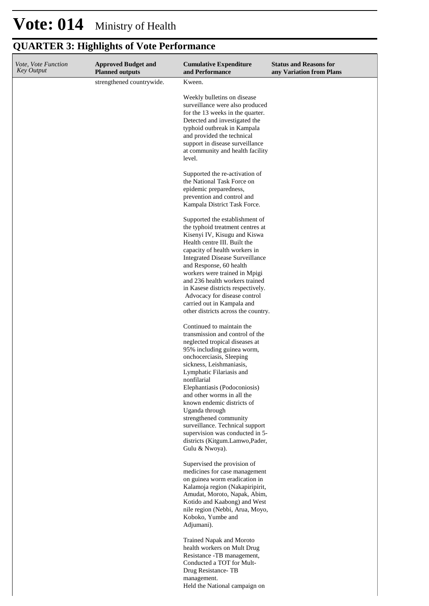| <i>Vote, Vote Function</i><br><b>Key Output</b> | <b>Approved Budget and</b><br><b>Planned outputs</b> | <b>Cumulative Expenditure</b><br>and Performance                                                                                                                                                                                                                                                                                                                                                                                                                                                  | <b>Status and Reasons for</b><br>any Variation from Plans |
|-------------------------------------------------|------------------------------------------------------|---------------------------------------------------------------------------------------------------------------------------------------------------------------------------------------------------------------------------------------------------------------------------------------------------------------------------------------------------------------------------------------------------------------------------------------------------------------------------------------------------|-----------------------------------------------------------|
|                                                 | strengthened countrywide.                            | Kween.                                                                                                                                                                                                                                                                                                                                                                                                                                                                                            |                                                           |
|                                                 |                                                      | Weekly bulletins on disease<br>surveillance were also produced<br>for the 13 weeks in the quarter.<br>Detected and investigated the<br>typhoid outbreak in Kampala<br>and provided the technical<br>support in disease surveillance<br>at community and health facility<br>level.                                                                                                                                                                                                                 |                                                           |
|                                                 |                                                      | Supported the re-activation of<br>the National Task Force on<br>epidemic preparedness,<br>prevention and control and<br>Kampala District Task Force.                                                                                                                                                                                                                                                                                                                                              |                                                           |
|                                                 |                                                      | Supported the establishment of<br>the typhoid treatment centres at<br>Kisenyi IV, Kisugu and Kiswa<br>Health centre III. Built the<br>capacity of health workers in<br><b>Integrated Disease Surveillance</b><br>and Response, 60 health<br>workers were trained in Mpigi<br>and 236 health workers trained<br>in Kasese districts respectively.<br>Advocacy for disease control<br>carried out in Kampala and<br>other districts across the country.                                             |                                                           |
|                                                 |                                                      | Continued to maintain the<br>transmission and control of the<br>neglected tropical diseases at<br>95% including guinea worm,<br>onchocerciasis, Sleeping<br>sickness, Leishmaniasis,<br>Lymphatic Filariasis and<br>nonfilarial<br>Elephantiasis (Podoconiosis)<br>and other worms in all the<br>known endemic districts of<br>Uganda through<br>strengthened community<br>surveillance. Technical support<br>supervision was conducted in 5-<br>districts (Kitgum.Lamwo,Pader,<br>Gulu & Nwoya). |                                                           |
|                                                 |                                                      | Supervised the provision of<br>medicines for case management<br>on guinea worm eradication in<br>Kalamoja region (Nakapiripirit,<br>Amudat, Moroto, Napak, Abim,<br>Kotido and Kaabong) and West<br>nile region (Nebbi, Arua, Moyo,<br>Koboko, Yumbe and<br>Adjumani).                                                                                                                                                                                                                            |                                                           |
|                                                 |                                                      | Trained Napak and Moroto<br>health workers on Mult Drug<br>Resistance -TB management,<br>Conducted a TOT for Mult-<br>Drug Resistance-TB<br>management.<br>Held the National campaign on                                                                                                                                                                                                                                                                                                          |                                                           |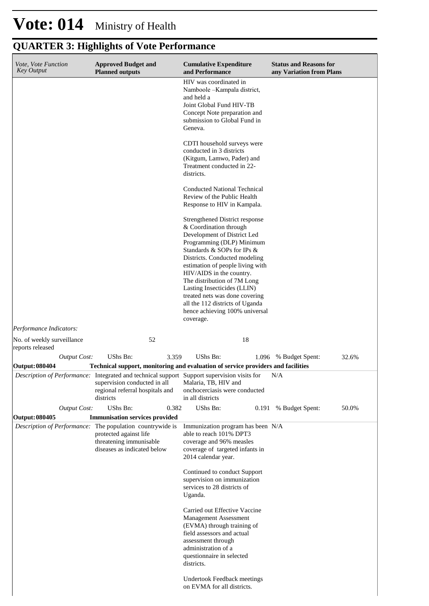| Vote, Vote Function<br><b>Key Output</b>              |                     | <b>Approved Budget and</b><br><b>Planned outputs</b>                                                                                                                                          |       | <b>Cumulative Expenditure</b><br>and Performance                                                                                                                                                                                                                                                                                                                                                                                                            |       | <b>Status and Reasons for</b><br>any Variation from Plans |       |  |
|-------------------------------------------------------|---------------------|-----------------------------------------------------------------------------------------------------------------------------------------------------------------------------------------------|-------|-------------------------------------------------------------------------------------------------------------------------------------------------------------------------------------------------------------------------------------------------------------------------------------------------------------------------------------------------------------------------------------------------------------------------------------------------------------|-------|-----------------------------------------------------------|-------|--|
|                                                       |                     |                                                                                                                                                                                               |       | HIV was coordinated in<br>Namboole - Kampala district,<br>and held a<br>Joint Global Fund HIV-TB<br>Concept Note preparation and<br>submission to Global Fund in<br>Geneva.                                                                                                                                                                                                                                                                                 |       |                                                           |       |  |
|                                                       |                     |                                                                                                                                                                                               |       | CDTI household surveys were<br>conducted in 3 districts<br>(Kitgum, Lamwo, Pader) and<br>Treatment conducted in 22-<br>districts.                                                                                                                                                                                                                                                                                                                           |       |                                                           |       |  |
|                                                       |                     |                                                                                                                                                                                               |       | Conducted National Technical<br>Review of the Public Health<br>Response to HIV in Kampala.                                                                                                                                                                                                                                                                                                                                                                  |       |                                                           |       |  |
|                                                       |                     |                                                                                                                                                                                               |       | Strengthened District response<br>& Coordination through<br>Development of District Led<br>Programming (DLP) Minimum<br>Standards & SOPs for IPs &<br>Districts. Conducted modeling<br>estimation of people living with<br>HIV/AIDS in the country.<br>The distribution of 7M Long<br>Lasting Insecticides (LLIN)<br>treated nets was done covering<br>all the 112 districts of Uganda<br>hence achieving 100% universal<br>coverage.                       |       |                                                           |       |  |
| Performance Indicators:<br>No. of weekly surveillance |                     | 52                                                                                                                                                                                            |       | 18                                                                                                                                                                                                                                                                                                                                                                                                                                                          |       |                                                           |       |  |
| reports released                                      |                     |                                                                                                                                                                                               |       |                                                                                                                                                                                                                                                                                                                                                                                                                                                             |       |                                                           |       |  |
| Output: 080404                                        | <b>Output Cost:</b> | UShs Bn:<br>Technical support, monitoring and evaluation of service providers and facilities                                                                                                  | 3.359 | UShs Bn:                                                                                                                                                                                                                                                                                                                                                                                                                                                    |       | 1.096 % Budget Spent:                                     | 32.6% |  |
|                                                       |                     | Description of Performance: Integrated and technical support Support supervision visits for<br>supervision conducted in all<br>regional referral hospitals and<br>districts                   |       | Malaria, TB, HIV and<br>onchocerciasis were conducted<br>in all districts                                                                                                                                                                                                                                                                                                                                                                                   |       | N/A                                                       |       |  |
|                                                       | <b>Output Cost:</b> | UShs Bn:                                                                                                                                                                                      | 0.382 | UShs Bn:                                                                                                                                                                                                                                                                                                                                                                                                                                                    | 0.191 | % Budget Spent:                                           | 50.0% |  |
| Output: 080405                                        |                     | <b>Immunisation services provided</b><br><i>Description of Performance:</i> The population countrywide is<br>protected against life<br>threatening immunisable<br>diseases as indicated below |       | Immunization program has been N/A<br>able to reach 101% DPT3<br>coverage and 96% measles<br>coverage of targeted infants in<br>2014 calendar year.<br>Continued to conduct Support<br>supervision on immunization<br>services to 28 districts of<br>Uganda.<br>Carried out Effective Vaccine<br>Management Assessment<br>(EVMA) through training of<br>field assessors and actual<br>assessment through<br>administration of a<br>questionnaire in selected |       |                                                           |       |  |
|                                                       |                     |                                                                                                                                                                                               |       | districts.<br><b>Undertook Feedback meetings</b><br>on EVMA for all districts.                                                                                                                                                                                                                                                                                                                                                                              |       |                                                           |       |  |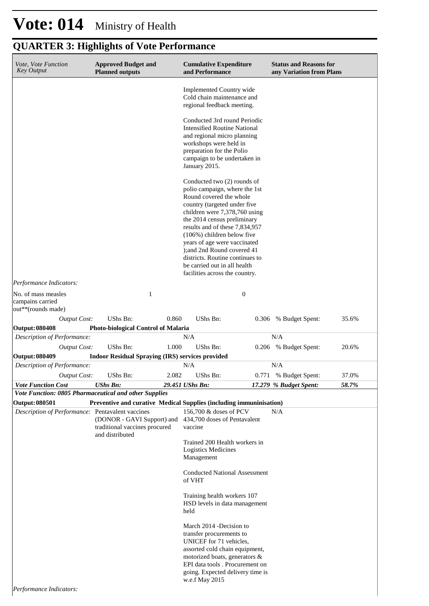| Vote, Vote Function<br><b>Key Output</b>                      | <b>Approved Budget and</b><br><b>Planned outputs</b>                           |       | <b>Cumulative Expenditure</b><br>and Performance                                                                                                                                                                                                                                                                                                          |                  | <b>Status and Reasons for</b><br>any Variation from Plans |       |
|---------------------------------------------------------------|--------------------------------------------------------------------------------|-------|-----------------------------------------------------------------------------------------------------------------------------------------------------------------------------------------------------------------------------------------------------------------------------------------------------------------------------------------------------------|------------------|-----------------------------------------------------------|-------|
|                                                               |                                                                                |       | Implemented Country wide<br>Cold chain maintenance and<br>regional feedback meeting.                                                                                                                                                                                                                                                                      |                  |                                                           |       |
|                                                               |                                                                                |       | Conducted 3rd round Periodic<br><b>Intensified Routine National</b><br>and regional micro planning<br>workshops were held in<br>preparation for the Polio<br>campaign to be undertaken in<br>January 2015.                                                                                                                                                |                  |                                                           |       |
|                                                               |                                                                                |       | Conducted two (2) rounds of<br>polio campaign, where the 1st<br>Round covered the whole<br>country (targeted under five<br>children were 7,378,760 using<br>the 2014 census preliminary<br>results and of these 7,834,957<br>(106%) children below five<br>years of age were vaccinated<br>); and 2nd Round covered 41<br>districts. Routine continues to |                  |                                                           |       |
|                                                               |                                                                                |       | be carried out in all health<br>facilities across the country.                                                                                                                                                                                                                                                                                            |                  |                                                           |       |
| Performance Indicators:                                       |                                                                                |       |                                                                                                                                                                                                                                                                                                                                                           |                  |                                                           |       |
| No. of mass measles<br>campains carried<br>out**(rounds made) | $\mathbf{1}$                                                                   |       |                                                                                                                                                                                                                                                                                                                                                           | $\boldsymbol{0}$ |                                                           |       |
| <b>Output Cost:</b>                                           | <b>UShs Bn:</b>                                                                | 0.860 | <b>UShs Bn:</b>                                                                                                                                                                                                                                                                                                                                           | 0.306            | % Budget Spent:                                           | 35.6% |
| <b>Output: 080408</b><br>Description of Performance:          | <b>Photo-biological Control of Malaria</b>                                     |       | N/A                                                                                                                                                                                                                                                                                                                                                       |                  | N/A                                                       |       |
| <b>Output Cost:</b>                                           | <b>UShs Bn:</b>                                                                | 1.000 | <b>UShs Bn:</b>                                                                                                                                                                                                                                                                                                                                           |                  | 0.206 % Budget Spent:                                     | 20.6% |
| <b>Output: 080409</b>                                         | <b>Indoor Residual Spraying (IRS) services provided</b>                        |       |                                                                                                                                                                                                                                                                                                                                                           |                  |                                                           |       |
| Description of Performance:                                   |                                                                                |       | N/A                                                                                                                                                                                                                                                                                                                                                       |                  | N/A                                                       |       |
| <b>Output Cost:</b>                                           | UShs Bn:                                                                       | 2.082 | UShs Bn:                                                                                                                                                                                                                                                                                                                                                  | 0.771            | % Budget Spent:                                           | 37.0% |
| <b>Vote Function Cost</b>                                     | <b>UShs Bn:</b>                                                                |       | 29.451 UShs Bn:                                                                                                                                                                                                                                                                                                                                           |                  | 17.279 % Budget Spent:                                    | 58.7% |
| Vote Function: 0805 Pharmaceutical and other Supplies         |                                                                                |       |                                                                                                                                                                                                                                                                                                                                                           |                  |                                                           |       |
| <b>Output: 080501</b>                                         | Preventive and curative Medical Supplies (including immuninisation)            |       |                                                                                                                                                                                                                                                                                                                                                           |                  |                                                           |       |
| Description of Performance: Pentavalent vaccines              | (DONOR - GAVI Support) and<br>traditional vaccines procured<br>and distributed |       | 156,700 & doses of PCV<br>434,700 doses of Pentavalent<br>vaccine                                                                                                                                                                                                                                                                                         |                  | N/A                                                       |       |
|                                                               |                                                                                |       | Trained 200 Health workers in<br>Logistics Medicines<br>Management                                                                                                                                                                                                                                                                                        |                  |                                                           |       |
|                                                               |                                                                                |       | <b>Conducted National Assessment</b><br>of VHT                                                                                                                                                                                                                                                                                                            |                  |                                                           |       |
|                                                               |                                                                                |       | Training health workers 107<br>HSD levels in data management<br>held                                                                                                                                                                                                                                                                                      |                  |                                                           |       |
| <i>Performance Indicators:</i>                                |                                                                                |       | March 2014 - Decision to<br>transfer procurements to<br>UNICEF for 71 vehicles,<br>assorted cold chain equipment,<br>motorized boats, generators &<br>EPI data tools . Procurement on<br>going. Expected delivery time is<br>w.e.f May 2015                                                                                                               |                  |                                                           |       |

*Performance Indicators:*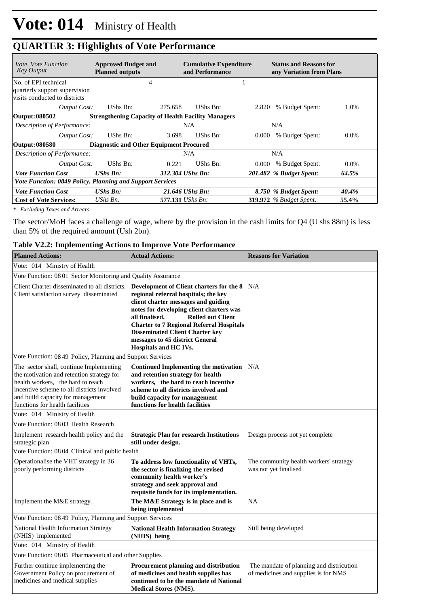| <i>Vote, Vote Function</i><br>Key Output                                               | <b>Approved Budget and</b><br><b>Planned outputs</b>      |         | <b>Cumulative Expenditure</b><br>and Performance |       | <b>Status and Reasons for</b><br>any Variation from Plans |         |  |  |
|----------------------------------------------------------------------------------------|-----------------------------------------------------------|---------|--------------------------------------------------|-------|-----------------------------------------------------------|---------|--|--|
| No. of EPI technical<br>quarterly support supervision<br>visits conducted to districts | 4                                                         |         |                                                  |       |                                                           |         |  |  |
| Output Cost:                                                                           | UShs Bn:                                                  | 275.658 | UShs Bn:                                         | 2.820 | % Budget Spent:                                           | 1.0%    |  |  |
| Output: 080502                                                                         | <b>Strengthening Capacity of Health Facility Managers</b> |         |                                                  |       |                                                           |         |  |  |
| Description of Performance:                                                            |                                                           |         | N/A                                              |       | N/A                                                       |         |  |  |
| Output Cost:                                                                           | UShs Bn:                                                  | 3.698   | UShs Bn:                                         | 0.000 | % Budget Spent:                                           | $0.0\%$ |  |  |
| Output: 080580                                                                         | <b>Diagnostic and Other Equipment Procured</b>            |         |                                                  |       |                                                           |         |  |  |
| Description of Performance:                                                            |                                                           |         | N/A                                              |       | N/A                                                       |         |  |  |
| <b>Output Cost:</b>                                                                    | UShs Bn:                                                  | 0.221   | UShs Bn:                                         | 0.000 | % Budget Spent:                                           | $0.0\%$ |  |  |
| <b>Vote Function Cost</b>                                                              | $UShs$ $Bn$ :                                             |         | 312.304 UShs Bn:                                 |       | 201.482 % Budget Spent:                                   | 64.5%   |  |  |
| Vote Function: 0849 Policy, Planning and Support Services                              |                                                           |         |                                                  |       |                                                           |         |  |  |
| <b>Vote Function Cost</b>                                                              | $UShs$ $Bn$ :                                             |         | 21.646 UShs Bn:                                  |       | 8.750 % Budget Spent:                                     | 40.4%   |  |  |
| <b>Cost of Vote Services:</b>                                                          | $UShs Bn$ :                                               |         | 577.131 <i>UShs Bn:</i>                          |       | <b>319.972</b> % Budget Spent:                            | 55.4%   |  |  |

*\* Excluding Taxes and Arrears*

The sector/MoH faces a challenge of wage, where by the provision in the cash limits for Q4 (U shs 88m) is less than 5% of the required amount (Ush 2bn).

|  |  | Table V2.2: Implementing Actions to Improve Vote Performance |
|--|--|--------------------------------------------------------------|
|  |  |                                                              |

| <b>Planned Actions:</b>                                                                                                                                                                                                                         | <b>Actual Actions:</b>                                                                                                                                                                                                                                                                                                                                                                                                       | <b>Reasons for Variation</b>                                                     |
|-------------------------------------------------------------------------------------------------------------------------------------------------------------------------------------------------------------------------------------------------|------------------------------------------------------------------------------------------------------------------------------------------------------------------------------------------------------------------------------------------------------------------------------------------------------------------------------------------------------------------------------------------------------------------------------|----------------------------------------------------------------------------------|
| Vote: 014 Ministry of Health                                                                                                                                                                                                                    |                                                                                                                                                                                                                                                                                                                                                                                                                              |                                                                                  |
| Vote Function: 08 01 Sector Monitoring and Quality Assurance                                                                                                                                                                                    |                                                                                                                                                                                                                                                                                                                                                                                                                              |                                                                                  |
| Client satisfaction survey disseminated                                                                                                                                                                                                         | Client Charter disseminated to all districts. Development of Client charters for the 8 N/A<br>regional referral hospitals; the key<br>client charter messages and guiding<br>notes for developing client charters was<br>all finalised.<br><b>Rolled out Client</b><br><b>Charter to 7 Regional Referral Hospitals</b><br><b>Disseminated Client Charter key</b><br>messages to 45 district General<br>Hospitals and HC IVs. |                                                                                  |
| Vote Function: 08 49 Policy, Planning and Support Services                                                                                                                                                                                      |                                                                                                                                                                                                                                                                                                                                                                                                                              |                                                                                  |
| The sector shall, continue Implementing<br>the motivation and retention strategy for<br>health workers, the hard to reach<br>incentive scheme to all districts involved<br>and build capacity for management<br>functions for health facilities | Continued Implementing the motivation N/A<br>and retention strategy for health<br>workers, the hard to reach incentive<br>scheme to all districts involved and<br>build capacity for management<br>functions for health facilities                                                                                                                                                                                           |                                                                                  |
| Vote: 014 Ministry of Health                                                                                                                                                                                                                    |                                                                                                                                                                                                                                                                                                                                                                                                                              |                                                                                  |
| Vote Function: 0803 Health Research                                                                                                                                                                                                             |                                                                                                                                                                                                                                                                                                                                                                                                                              |                                                                                  |
| Implement research health policy and the<br>strategic plan                                                                                                                                                                                      | <b>Strategic Plan for research Institutions</b><br>still under design.                                                                                                                                                                                                                                                                                                                                                       | Design process not yet complete                                                  |
| Vote Function: 08 04 Clinical and public health                                                                                                                                                                                                 |                                                                                                                                                                                                                                                                                                                                                                                                                              |                                                                                  |
| Operationalise the VHT strategy in 36<br>poorly performing districts                                                                                                                                                                            | To address low functionality of VHTs,<br>the sector is finalizing the revised<br>community health worker's<br>strategy and seek approval and<br>requisite funds for its implementation.                                                                                                                                                                                                                                      | The community health workers' strategy<br>was not yet finalised                  |
| Implement the M&E strategy.                                                                                                                                                                                                                     | The M&E Strategy is in place and is<br>being implemented                                                                                                                                                                                                                                                                                                                                                                     | <b>NA</b>                                                                        |
| Vote Function: 08 49 Policy, Planning and Support Services                                                                                                                                                                                      |                                                                                                                                                                                                                                                                                                                                                                                                                              |                                                                                  |
| National Health Information Strategy<br>(NHIS) implemented                                                                                                                                                                                      | <b>National Health Information Strategy</b><br>(NHIS) being                                                                                                                                                                                                                                                                                                                                                                  | Still being developed                                                            |
| Vote: 014 Ministry of Health                                                                                                                                                                                                                    |                                                                                                                                                                                                                                                                                                                                                                                                                              |                                                                                  |
| Vote Function: 08 05 Pharmaceutical and other Supplies                                                                                                                                                                                          |                                                                                                                                                                                                                                                                                                                                                                                                                              |                                                                                  |
| Further continue implementing the<br>Government Policy on procurement of<br>medicines and medical supplies                                                                                                                                      | Procurement planning and distribution<br>of medicines and health supplies has<br>continued to be the mandate of National<br><b>Medical Stores (NMS).</b>                                                                                                                                                                                                                                                                     | The mandate of planning and districution<br>of medicines and supplies is for NMS |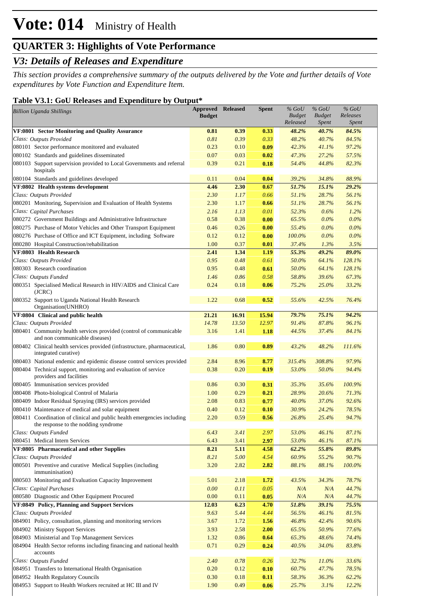## *V3: Details of Releases and Expenditure*

*This section provides a comprehensive summary of the outputs delivered by the Vote and further details of Vote expenditures by Vote Function and Expenditure Item.*

#### **Table V3.1: GoU Releases and Expenditure by Output\***

| <b>Billion Uganda Shillings</b>                                                                                 | Approved<br><b>Budget</b> | <b>Released</b> | <b>Spent</b> | $%$ GoU<br><b>Budget</b><br>Released | $%$ GoU<br><b>Budget</b><br><b>Spent</b> | $%$ GoU<br>Releases<br><b>Spent</b> |  |
|-----------------------------------------------------------------------------------------------------------------|---------------------------|-----------------|--------------|--------------------------------------|------------------------------------------|-------------------------------------|--|
| VF:0801 Sector Monitoring and Quality Assurance                                                                 | 0.81                      | 0.39            | 0.33         | 48.2%                                | 40.7%                                    | 84.5%                               |  |
| Class: Outputs Provided                                                                                         | 0.81                      | 0.39            | 0.33         | 48.2%                                | 40.7%                                    | 84.5%                               |  |
| 080101 Sector performance monitored and evaluated                                                               | 0.23                      | 0.10            | 0.09         | 42.3%                                | 41.1%                                    | 97.2%                               |  |
| 080102 Standards and guidelines disseminated                                                                    | 0.07                      | 0.03            | 0.02         | 47.3%                                | 27.2%                                    | 57.5%                               |  |
| 080103 Support supervision provided to Local Governments and referral<br>hospitals                              | 0.39                      | 0.21            | 0.18         | 54.4%                                | 44.8%                                    | 82.3%                               |  |
| 080104 Standards and guidelines developed                                                                       | 0.11                      | 0.04            | 0.04         | 39.2%                                | 34.8%                                    | 88.9%                               |  |
| VF:0802 Health systems development                                                                              | 4.46                      | 2.30            | 0.67         | 51.7%                                | 15.1%                                    | 29.2%                               |  |
| Class: Outputs Provided                                                                                         | 2.30                      | 1.17            | 0.66         | 51.1%                                | 28.7%                                    | 56.1%                               |  |
| 080201 Monitoring, Supervision and Evaluation of Health Systems                                                 | 2.30                      | 1.17            | 0.66         | 51.1%                                | 28.7%                                    | 56.1%                               |  |
| Class: Capital Purchases                                                                                        | 2.16                      | 1.13            | 0.01         | 52.3%                                | 0.6%                                     | 1.2%                                |  |
| 080272 Government Buildings and Administrative Infrastructure                                                   | 0.58                      | 0.38            | 0.00         | 65.5%                                | $0.0\%$                                  | 0.0%                                |  |
| 080275 Purchase of Motor Vehicles and Other Transport Equipment                                                 | 0.46                      | 0.26            | 0.00         | 55.4%                                | $0.0\%$                                  | 0.0%                                |  |
| 080276 Purchase of Office and ICT Equipment, including Software                                                 | 0.12                      | 0.12            | 0.00         | 100.0%                               | $0.0\%$                                  | $0.0\%$                             |  |
| 080280 Hospital Construction/rehabilitation                                                                     | 1.00                      | 0.37            | 0.01         | 37.4%                                | 1.3%                                     | 3.5%                                |  |
| VF:0803 Health Research                                                                                         | 2.41                      | 1.34            | 1.19         | 55.3%                                | 49.2%                                    | 89.0%                               |  |
| Class: Outputs Provided                                                                                         | 0.95                      | 0.48            | 0.61         | 50.0%                                | 64.1%                                    | 128.1%                              |  |
| 080303 Research coordination                                                                                    | 0.95                      | 0.48            | 0.61         | 50.0%                                | 64.1%                                    | 128.1%                              |  |
| Class: Outputs Funded                                                                                           | 1.46                      | 0.86            | 0.58         | 58.8%                                | 39.6%                                    | 67.3%                               |  |
| 080351 Specialised Medical Research in HIV/AIDS and Clinical Care<br>(JCRC)                                     | 0.24                      | 0.18            | 0.06         | 75.2%                                | 25.0%                                    | 33.2%                               |  |
| 080352 Support to Uganda National Health Research<br>Organisation(UNHRO)                                        | 1.22                      | 0.68            | 0.52         | 55.6%                                | 42.5%                                    | 76.4%                               |  |
| VF:0804 Clinical and public health                                                                              | 21.21                     | 16.91           | 15.94        | 79.7%                                | 75.1%                                    | 94.2%                               |  |
| Class: Outputs Provided                                                                                         | 14.78                     | 13.50           | 12.97        | 91.4%                                | 87.8%                                    | 96.1%                               |  |
| 080401 Community health services provided (control of communicable<br>and non communicable diseases)            | 3.16                      | 1.41            | 1.18         | 44.5%                                | 37.4%                                    | 84.1%                               |  |
| 080402 Clinical health services provided (infrastructure, pharmaceutical,<br>integrated curative)               | 1.86                      | 0.80            | 0.89         | 43.2%                                | 48.2%                                    | 111.6%                              |  |
| 080403 National endemic and epidemic disease control services provided                                          | 2.84                      | 8.96            | 8.77         | 315.4%                               | 308.8%                                   | 97.9%                               |  |
| 080404 Technical support, monitoring and evaluation of service<br>providers and facilities                      | 0.38                      | 0.20            | 0.19         | 53.0%                                | 50.0%                                    | 94.4%                               |  |
| 080405 Immunisation services provided                                                                           | 0.86                      | 0.30            | 0.31         | 35.3%                                | 35.6%                                    | 100.9%                              |  |
| 080408 Photo-biological Control of Malaria                                                                      | 1.00                      | 0.29            | 0.21         | 28.9%                                | 20.6%                                    | 71.3%                               |  |
| 080409 Indoor Residual Spraying (IRS) services provided                                                         | 2.08                      | 0.83            | 0.77         | 40.0%                                | 37.0%                                    | 92.6%                               |  |
| 080410 Maintenance of medical and solar equipment                                                               | 0.40                      | 0.12            | 0.10         | 30.9%                                | 24.2%                                    | 78.5%                               |  |
| 080411 Coordination of clinical and public health emergencies including<br>the response to the nodding syndrome | 2.20                      | 0.59            | 0.56         | 26.8%                                | 25.4%                                    | 94.7%                               |  |
| Class: Outputs Funded                                                                                           | 6.43                      | 3.41            | 2.97         | 53.0%                                | 46.1%                                    | 87.1%                               |  |
| 080451 Medical Intern Services                                                                                  | 6.43                      | 3.41            | 2.97         | 53.0%                                | 46.1%                                    | 87.1%                               |  |
| VF:0805 Pharmaceutical and other Supplies                                                                       | 8.21                      | 5.11            | 4.58         | 62.2%                                | 55.8%                                    | 89.8%                               |  |
| Class: Outputs Provided                                                                                         | 8.21                      | 5.00            | 4.54         | 60.9%                                | 55.2%                                    | 90.7%                               |  |
| 080501 Preventive and curative Medical Supplies (including<br>immuninisation)                                   | 3.20                      | 2.82            | 2.82         | 88.1%                                | 88.1%                                    | $100.0\%$                           |  |
| 080503 Monitoring and Evaluation Capacity Improvement                                                           | 5.01                      | 2.18            | 1.72         | 43.5%                                | 34.3%                                    | 78.7%                               |  |
| Class: Capital Purchases                                                                                        | $0.00\,$                  | 0.11            | 0.05         | N/A                                  | N/A                                      | 44.7%                               |  |
| 080580 Diagnostic and Other Equipment Procured                                                                  | 0.00                      | 0.11            | 0.05         | N/A                                  | N/A                                      | 44.7%                               |  |
| VF:0849 Policy, Planning and Support Services                                                                   | 12.03                     | 6.23            | 4.70         | 51.8%                                | 39.1%                                    | 75.5%                               |  |
| Class: Outputs Provided                                                                                         | 9.63                      | 5.44            | 4.44         | 56.5%                                | 46.1%                                    | 81.5%                               |  |
| 084901 Policy, consultation, planning and monitoring services                                                   | 3.67                      | 1.72            | 1.56         | 46.8%                                | 42.4%                                    | 90.6%                               |  |
| 084902 Ministry Support Services                                                                                | 3.93                      | 2.58            | 2.00         | 65.5%                                | 50.9%                                    | 77.6%                               |  |
| 084903 Ministerial and Top Management Services                                                                  | 1.32                      | 0.86            | 0.64         | 65.3%                                | 48.6%                                    | 74.4%                               |  |
| 084904 Health Sector reforms including financing and national health<br>accounts                                | 0.71                      | 0.29            | 0.24         | 40.5%                                | 34.0%                                    | 83.8%                               |  |
| Class: Outputs Funded                                                                                           | 2.40                      | 0.78            | 0.26         | 32.7%                                | 11.0%                                    | 33.6%                               |  |
| 084951 Transfers to International Health Organisation                                                           | 0.20                      | 0.12            | 0.10         | 60.7%                                | 47.7%                                    | 78.5%                               |  |
| 084952 Health Regulatory Councils                                                                               | 0.30                      | 0.18            | 0.11         | 58.3%                                | 36.3%                                    | 62.2%                               |  |
| 084953 Support to Health Workers recruited at HC III and IV                                                     | 1.90                      | 0.49            | 0.06         | 25.7%                                | 3.1%                                     | 12.2%                               |  |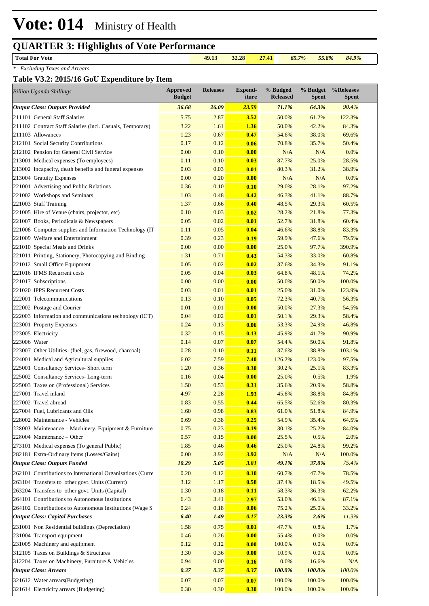**Total For Vote 49.13 32.28 27.41** *65.7% 55.8% 84.9%*

*\* Excluding Taxes and Arrears*

#### **Table V3.2: 2015/16 GoU Expenditure by Item**

| <b>Billion Uganda Shillings</b>                            | <b>Approved</b><br><b>Budget</b> | <b>Releases</b> | <b>Expend-</b><br>iture | % Budged<br><b>Released</b> | % Budget<br><b>Spent</b> | %Releases<br>Spent |
|------------------------------------------------------------|----------------------------------|-----------------|-------------------------|-----------------------------|--------------------------|--------------------|
| <b>Output Class: Outputs Provided</b>                      | 36.68                            | 26.09           | 23.59                   | 71.1%                       | 64.3%                    | 90.4%              |
| 211101 General Staff Salaries                              | 5.75                             | 2.87            | 3.52                    | 50.0%                       | 61.2%                    | 122.3%             |
| 211102 Contract Staff Salaries (Incl. Casuals, Temporary)  | 3.22                             | 1.61            | 1.36                    | 50.0%                       | 42.2%                    | 84.3%              |
| 211103 Allowances                                          | 1.23                             | 0.67            | 0.47                    | 54.6%                       | 38.0%                    | 69.6%              |
| 212101 Social Security Contributions                       | 0.17                             | 0.12            | 0.06                    | 70.8%                       | 35.7%                    | 50.4%              |
| 212102 Pension for General Civil Service                   | 0.00                             | 0.10            | 0.00                    | N/A                         | N/A                      | 0.0%               |
| 213001 Medical expenses (To employees)                     | 0.11                             | 0.10            | 0.03                    | 87.7%                       | 25.0%                    | 28.5%              |
| 213002 Incapacity, death benefits and funeral expenses     | 0.03                             | 0.03            | 0.01                    | 80.3%                       | 31.2%                    | 38.9%              |
| 213004 Gratuity Expenses                                   | 0.00                             | 0.20            | 0.00                    | N/A                         | N/A                      | 0.0%               |
| 221001 Advertising and Public Relations                    | 0.36                             | 0.10            | 0.10                    | 29.0%                       | 28.1%                    | 97.2%              |
| 221002 Workshops and Seminars                              | 1.03                             | 0.48            | 0.42                    | 46.3%                       | 41.1%                    | 88.7%              |
| 221003 Staff Training                                      | 1.37                             | 0.66            | 0.40                    | 48.5%                       | 29.3%                    | 60.5%              |
| 221005 Hire of Venue (chairs, projector, etc)              | 0.10                             | 0.03            | 0.02                    | 28.2%                       | 21.8%                    | 77.3%              |
| 221007 Books, Periodicals & Newspapers                     | 0.05                             | 0.02            | 0.01                    | 52.7%                       | 31.8%                    | 60.4%              |
| 221008 Computer supplies and Information Technology (IT    | 0.11                             | 0.05            | 0.04                    | 46.6%                       | 38.8%                    | 83.3%              |
| 221009 Welfare and Entertainment                           | 0.39                             | 0.23            | 0.19                    | 59.9%                       | 47.6%                    | 79.5%              |
| 221010 Special Meals and Drinks                            | 0.00                             | 0.00            | 0.00                    | 25.0%                       | 97.7%                    | 390.9%             |
| 221011 Printing, Stationery, Photocopying and Binding      | 1.31                             | 0.71            | 0.43                    | 54.3%                       | 33.0%                    | 60.8%              |
| 221012 Small Office Equipment                              | 0.05                             | 0.02            | 0.02                    | 37.6%                       | 34.3%                    | 91.1%              |
| 221016 IFMS Recurrent costs                                | 0.05                             | 0.04            | 0.03                    | 64.8%                       | 48.1%                    | 74.2%              |
| 221017 Subscriptions                                       | 0.00                             | 0.00            | 0.00                    | 50.0%                       | 50.0%                    | 100.0%             |
| 221020 IPPS Recurrent Costs                                | 0.03                             | 0.01            | 0.01                    | 25.0%                       | 31.0%                    | 123.9%             |
| 222001 Telecommunications                                  | 0.13                             | 0.10            | 0.05                    | 72.3%                       | 40.7%                    | 56.3%              |
| 222002 Postage and Courier                                 | 0.01                             | 0.01            | 0.00                    | 50.0%                       | 27.3%                    | 54.5%              |
| 222003 Information and communications technology (ICT)     | 0.04                             | 0.02            | 0.01                    | 50.1%                       | 29.3%                    | 58.4%              |
| 223001 Property Expenses                                   | 0.24                             | 0.13            | 0.06                    | 53.3%                       | 24.9%                    | 46.8%              |
| 223005 Electricity                                         | 0.32                             | 0.15            | 0.13                    | 45.9%                       | 41.7%                    | 90.9%              |
| 223006 Water                                               | 0.14                             | 0.07            | 0.07                    | 54.4%                       | 50.0%                    | 91.8%              |
| 223007 Other Utilities- (fuel, gas, firewood, charcoal)    | 0.28                             | 0.10            | 0.11                    | 37.6%                       | 38.8%                    | 103.1%             |
| 224001 Medical and Agricultural supplies                   | 6.02                             | 7.59            | 7.40                    | 126.2%                      | 123.0%                   | 97.5%              |
| 225001 Consultancy Services- Short term                    | 1.20                             | 0.36            | 0.30                    | 30.2%                       | 25.1%                    | 83.3%              |
| 225002 Consultancy Services-Long-term                      | 0.16                             | 0.04            | 0.00                    | 25.0%                       | 0.5%                     | 1.9%               |
| 225003 Taxes on (Professional) Services                    | 1.50                             | 0.53            | 0.31                    | 35.6%                       | 20.9%                    | 58.8%              |
| 227001 Travel inland                                       | 4.97                             | 2.28            | 1.93                    | 45.8%                       | 38.8%                    | 84.8%              |
| 227002 Travel abroad<br>227004 Fuel, Lubricants and Oils   | 0.83<br>1.60                     | 0.55<br>0.98    | 0.44                    | 65.5%                       | 52.6%                    | 80.3%              |
| 228002 Maintenance - Vehicles                              | 0.69                             | 0.38            | 0.83<br>0.25            | 61.0%<br>54.9%              | 51.8%<br>35.4%           | 84.9%<br>64.5%     |
| 228003 Maintenance – Machinery, Equipment & Furniture      | 0.75                             | 0.23            | 0.19                    | 30.1%                       | 25.2%                    | 84.0%              |
| 228004 Maintenance - Other                                 | 0.57                             | 0.15            | 0.00                    | 25.5%                       | 0.5%                     | 2.0%               |
| 273101 Medical expenses (To general Public)                | 1.85                             | 0.46            | 0.46                    | 25.0%                       | 24.8%                    | 99.2%              |
| 282181 Extra-Ordinary Items (Losses/Gains)                 | 0.00                             | 3.92            | <b>3.92</b>             | N/A                         | N/A                      | 100.0%             |
| <b>Output Class: Outputs Funded</b>                        | 10.29                            | 5.05            | <b>3.81</b>             | 49.1%                       | 37.0%                    | 75.4%              |
| 262101 Contributions to International Organisations (Curre | 0.20                             | 0.12            | 0.10                    | 60.7%                       | 47.7%                    | 78.5%              |
| 263104 Transfers to other govt. Units (Current)            | 3.12                             | 1.17            | 0.58                    | 37.4%                       | 18.5%                    | 49.5%              |
| 263204 Transfers to other govt. Units (Capital)            | 0.30                             | 0.18            | 0.11                    | 58.3%                       | 36.3%                    | 62.2%              |
| 264101 Contributions to Autonomous Institutions            | 6.43                             | 3.41            | 2.97                    | 53.0%                       | 46.1%                    | 87.1%              |
| 264102 Contributions to Autonomous Institutions (Wage S    | 0.24                             | 0.18            | 0.06                    | 75.2%                       | 25.0%                    | 33.2%              |
| <b>Output Class: Capital Purchases</b>                     | 6.40                             | 1.49            | 0.17                    | 23.3%                       | 2.6%                     | 11.3%              |
|                                                            |                                  |                 |                         |                             |                          |                    |
| 231001 Non Residential buildings (Depreciation)            | 1.58                             | 0.75            | 0.01                    | 47.7%                       | 0.8%<br>0.0%             | 1.7%<br>0.0%       |
| 231004 Transport equipment                                 | 0.46                             | 0.26            | 0.00                    | 55.4%                       |                          | 0.0%               |
| 231005 Machinery and equipment                             | 0.12                             | 0.12            | 0.00                    | 100.0%                      | 0.0%                     | 0.0%               |
| 312105 Taxes on Buildings & Structures                     | 3.30<br>0.94                     | 0.36<br>0.00    | 0.00                    | 10.9%<br>0.0%               | 0.0%<br>16.6%            | N/A                |
| 312204 Taxes on Machinery, Furniture & Vehicles            |                                  | 0.37            | 0.16                    |                             |                          | $100.0\%$          |
| <b>Output Class: Arrears</b>                               | 0.37                             |                 | 0.37                    | 100.0%                      | 100.0%                   |                    |
| 321612 Water arrears(Budgeting)                            | 0.07                             | 0.07            | 0.07                    | 100.0%                      | 100.0%                   | 100.0%             |
| 321614 Electricity arrears (Budgeting)                     | 0.30                             | 0.30            | 0.30                    | 100.0%                      | 100.0%                   | 100.0%             |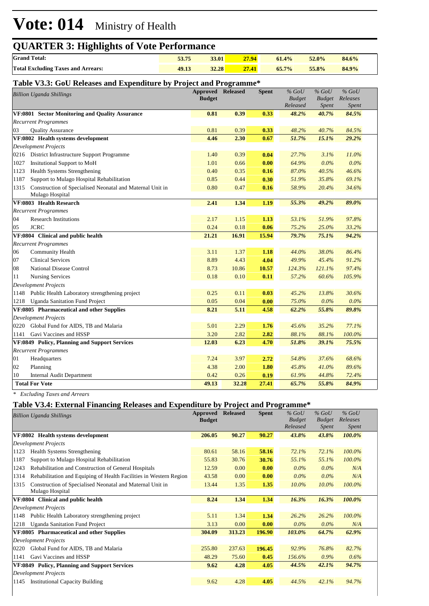# **Vote: 014** Ministry of Health

| <b>QUARTER 3: Highlights of Vote Performance</b> |       |       |       |          |       |       |  |
|--------------------------------------------------|-------|-------|-------|----------|-------|-------|--|
| <b>Grand Total:</b>                              | 53.75 | 33.01 | 27.94 | $61.4\%$ | 52.0% | 84.6% |  |
| <b>Total Excluding Taxes and Arrears:</b>        | 49.13 | 32.28 | 27.41 | $65.7\%$ | 55.8% | 84.9% |  |

#### **Table V3.3: GoU Releases and Expenditure by Project and Programme\***

|      | Table <i>volo.</i> Goo Kertasts and Expenditure by Froject and Frogramme     |                          |       |              |                           |                        |                   |  |
|------|------------------------------------------------------------------------------|--------------------------|-------|--------------|---------------------------|------------------------|-------------------|--|
|      | <b>Billion Uganda Shillings</b>                                              | <b>Approved Released</b> |       | <b>Spent</b> | $%$ GoU                   | $%$ GoU                | $%$ GoU           |  |
|      |                                                                              | <b>Budget</b>            |       |              | <b>Budget</b><br>Released | <b>Budget</b><br>Spent | Releases<br>Spent |  |
|      | VF:0801 Sector Monitoring and Quality Assurance                              | 0.81                     | 0.39  | 0.33         | 48.2%                     | 40.7%                  | 84.5%             |  |
|      | <b>Recurrent Programmes</b>                                                  |                          |       |              |                           |                        |                   |  |
| 03   | <b>Quality Assurance</b>                                                     | 0.81                     | 0.39  | 0.33         | 48.2%                     | 40.7%                  | 84.5%             |  |
|      | VF:0802 Health systems development                                           | 4.46                     | 2.30  | 0.67         | 51.7%                     | 15.1%                  | 29.2%             |  |
|      | <b>Development Projects</b>                                                  |                          |       |              |                           |                        |                   |  |
|      | 0216 District Infrastructure Support Programme                               | 1.40                     | 0.39  | 0.04         | 27.7%                     | 3.1%                   | 11.0%             |  |
| 1027 | <b>Insitutional Support to MoH</b>                                           | 1.01                     | 0.66  | 0.00         | 64.9%                     | 0.0%                   | $0.0\%$           |  |
| 1123 | <b>Health Systems Strengthening</b>                                          | 0.40                     | 0.35  | 0.16         | 87.0%                     | 40.5%                  | 46.6%             |  |
| 1187 | Support to Mulago Hospital Rehabilitation                                    | 0.85                     | 0.44  | 0.30         | 51.9%                     | 35.8%                  | 69.1%             |  |
| 1315 | Construction of Specialised Neonatal and Maternal Unit in<br>Mulago Hospital | 0.80                     | 0.47  | 0.16         | 58.9%                     | 20.4%                  | 34.6%             |  |
|      | VF:0803 Health Research                                                      | 2.41                     | 1.34  | 1.19         | 55.3%                     | 49.2%                  | 89.0%             |  |
|      | <b>Recurrent Programmes</b>                                                  |                          |       |              |                           |                        |                   |  |
| 04   | <b>Research Institutions</b>                                                 | 2.17                     | 1.15  | 1.13         | 53.1%                     | 51.9%                  | 97.8%             |  |
| 05   | <b>JCRC</b>                                                                  | 0.24                     | 0.18  | 0.06         | 75.2%                     | 25.0%                  | 33.2%             |  |
|      | VF:0804 Clinical and public health                                           | 21.21                    | 16.91 | 15.94        | 79.7%                     | 75.1%                  | 94.2%             |  |
|      | <b>Recurrent Programmes</b>                                                  |                          |       |              |                           |                        |                   |  |
| 06   | Community Health                                                             | 3.11                     | 1.37  | 1.18         | 44.0%                     | 38.0%                  | 86.4%             |  |
| 07   | <b>Clinical Services</b>                                                     | 8.89                     | 4.43  | 4.04         | 49.9%                     | 45.4%                  | 91.2%             |  |
| 08   | National Disease Control                                                     | 8.73                     | 10.86 | 10.57        | 124.3%                    | 121.1%                 | 97.4%             |  |
| 11   | <b>Nursing Services</b>                                                      | 0.18                     | 0.10  | 0.11         | 57.2%                     | 60.6%                  | 105.9%            |  |
|      | <b>Development Projects</b>                                                  |                          |       |              |                           |                        |                   |  |
|      | 1148 Public Health Laboratory strengthening project                          | 0.25                     | 0.11  | 0.03         | 45.2%                     | 13.8%                  | 30.6%             |  |
| 1218 | <b>Uganda Sanitation Fund Project</b>                                        | 0.05                     | 0.04  | 0.00         | 75.0%                     | 0.0%                   | $0.0\%$           |  |
|      | VF:0805 Pharmaceutical and other Supplies                                    | 8.21                     | 5.11  | 4.58         | 62.2%                     | 55.8%                  | 89.8%             |  |
|      | <b>Development Projects</b>                                                  |                          |       |              |                           |                        |                   |  |
| 0220 | Global Fund for AIDS, TB and Malaria                                         | 5.01                     | 2.29  | 1.76         | 45.6%                     | 35.2%                  | 77.1%             |  |
| 1141 | Gavi Vaccines and HSSP                                                       | 3.20                     | 2.82  | 2.82         | 88.1%                     | 88.1%                  | 100.0%            |  |
|      | VF:0849 Policy, Planning and Support Services                                | 12.03                    | 6.23  | 4.70         | 51.8%                     | 39.1%                  | 75.5%             |  |
|      | <b>Recurrent Programmes</b>                                                  |                          |       |              |                           |                        |                   |  |
| 01   | Headquarters                                                                 | 7.24                     | 3.97  | 2.72         | 54.8%                     | 37.6%                  | 68.6%             |  |
| 02   | Planning                                                                     | 4.38                     | 2.00  | 1.80         | 45.8%                     | 41.0%                  | 89.6%             |  |
| 10   | <b>Internal Audit Department</b>                                             | 0.42                     | 0.26  | 0.19         | 61.9%                     | 44.8%                  | 72.4%             |  |
|      | <b>Total For Vote</b>                                                        | 49.13                    | 32.28 | 27.41        | 65.7%                     | 55.8%                  | 84.9%             |  |

*\* Excluding Taxes and Arrears*

#### **Table V3.4: External Financing Releases and Expenditure by Project and Programme\***

|      | <b>Billion Uganda Shillings</b>                                    | Approved<br><b>Budget</b> | <b>Released</b> | <b>Spent</b> | $%$ GoU<br><b>Budget</b><br>Released | $%$ GoU<br><b>Budget</b><br>Spent | $%$ GoU<br>Releases<br>Spent |  |
|------|--------------------------------------------------------------------|---------------------------|-----------------|--------------|--------------------------------------|-----------------------------------|------------------------------|--|
|      | VF:0802 Health systems development                                 | 206.05                    | 90.27           | 90.27        | 43.8%                                | 43.8%                             | 100.0%                       |  |
|      | <b>Development Projects</b>                                        |                           |                 |              |                                      |                                   |                              |  |
| 1123 | <b>Health Systems Strengthening</b>                                | 80.61                     | 58.16           | 58.16        | 72.1%                                | 72.1%                             | $100.0\%$                    |  |
| 1187 | Support to Mulago Hospital Rehabilitation                          | 55.83                     | 30.76           | 30.76        | 55.1%                                | 55.1%                             | 100.0%                       |  |
| 1243 | Rehabilitation and Construction of General Hospitals               | 12.59                     | 0.00            | 0.00         | $0.0\%$                              | $0.0\%$                           | N/A                          |  |
| 1314 | Rehabilitation and Equiping of Health Facilities in Western Region | 43.58                     | 0.00            | 0.00         | $0.0\%$                              | $0.0\%$                           | N/A                          |  |
| 1315 | Construction of Specialised Neonatal and Maternal Unit in          | 13.44                     | 1.35            | 1.35         | $10.0\%$                             | $10.0\%$                          | 100.0%                       |  |
|      | Mulago Hospital                                                    |                           |                 |              |                                      |                                   |                              |  |
|      | VF:0804 Clinical and public health                                 | 8.24                      | 1.34            | 1.34         | 16.3%                                | 16.3%                             | 100.0%                       |  |
|      | <b>Development Projects</b>                                        |                           |                 |              |                                      |                                   |                              |  |
| 1148 | Public Health Laboratory strengthening project                     | 5.11                      | 1.34            | 1.34         | 26.2%                                | 26.2%                             | 100.0%                       |  |
| 1218 | <b>Uganda Sanitation Fund Project</b>                              | 3.13                      | 0.00            | 0.00         | $0.0\%$                              | $0.0\%$                           | N/A                          |  |
|      | VF:0805 Pharmaceutical and other Supplies                          | 304.09                    | 313.23          | 196.90       | 103.0%                               | 64.7%                             | 62.9%                        |  |
|      | <b>Development Projects</b>                                        |                           |                 |              |                                      |                                   |                              |  |
| 0220 | Global Fund for AIDS, TB and Malaria                               | 255.80                    | 237.63          | 196.45       | 92.9%                                | 76.8%                             | 82.7%                        |  |
| 1141 | Gavi Vaccines and HSSP                                             | 48.29                     | 75.60           | 0.45         | 156.6%                               | $0.9\%$                           | 0.6%                         |  |
|      | VF:0849 Policy, Planning and Support Services                      | 9.62                      | 4.28            | 4.05         | 44.5%                                | 42.1%                             | 94.7%                        |  |
|      | <b>Development Projects</b>                                        |                           |                 |              |                                      |                                   |                              |  |
| 1145 | <b>Institutional Capacity Building</b>                             | 9.62                      | 4.28            | 4.05         | 44.5%                                | 42.1%                             | 94.7%                        |  |
|      |                                                                    |                           |                 |              |                                      |                                   |                              |  |